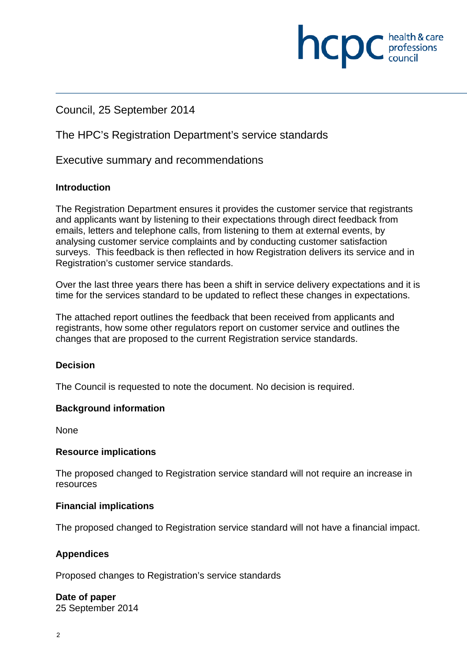## Council, 25 September 2014

## The HPC's Registration Department's service standards

Executive summary and recommendations

#### **Introduction**

The Registration Department ensures it provides the customer service that registrants and applicants want by listening to their expectations through direct feedback from emails, letters and telephone calls, from listening to them at external events, by analysing customer service complaints and by conducting customer satisfaction surveys. This feedback is then reflected in how Registration delivers its service and in Registration's customer service standards.

**INCDC** *c health & care* 

health & care

Over the last three years there has been a shift in service delivery expectations and it is time for the services standard to be updated to reflect these changes in expectations.

The attached report outlines the feedback that been received from applicants and registrants, how some other regulators report on customer service and outlines the changes that are proposed to the current Registration service standards.

#### **Decision**

The Council is requested to note the document. No decision is required.

#### **Background information**

None

#### **Resource implications**

The proposed changed to Registration service standard will not require an increase in resources

#### **Financial implications**

The proposed changed to Registration service standard will not have a financial impact.

#### **Appendices**

Proposed changes to Registration's service standards

**Date of paper**  25 September 2014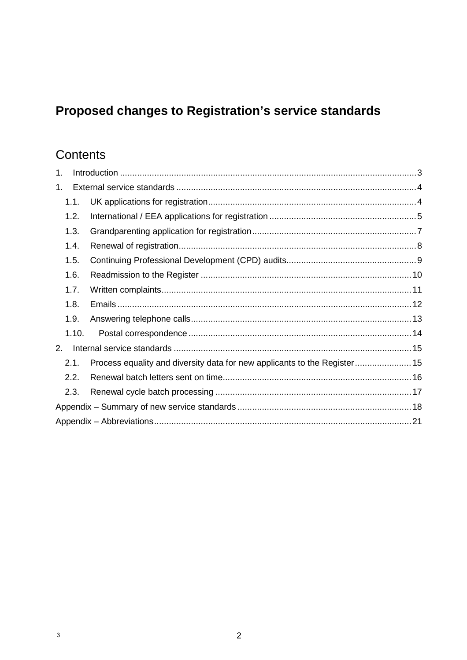# Proposed changes to Registration's service standards

# Contents

| 1. |       |                                                                           |  |  |  |
|----|-------|---------------------------------------------------------------------------|--|--|--|
| 1. |       |                                                                           |  |  |  |
|    | 1.1.  |                                                                           |  |  |  |
|    | 1.2.  |                                                                           |  |  |  |
|    | 1.3.  |                                                                           |  |  |  |
|    | 1.4.  |                                                                           |  |  |  |
|    | 1.5.  |                                                                           |  |  |  |
|    | 1.6.  |                                                                           |  |  |  |
|    | 1.7.  |                                                                           |  |  |  |
|    | 1.8.  |                                                                           |  |  |  |
|    | 1.9.  |                                                                           |  |  |  |
|    | 1.10. |                                                                           |  |  |  |
| 2. |       |                                                                           |  |  |  |
|    | 2.1.  | Process equality and diversity data for new applicants to the Register 15 |  |  |  |
|    | 2.2.  |                                                                           |  |  |  |
|    | 2.3.  |                                                                           |  |  |  |
|    |       |                                                                           |  |  |  |
|    |       |                                                                           |  |  |  |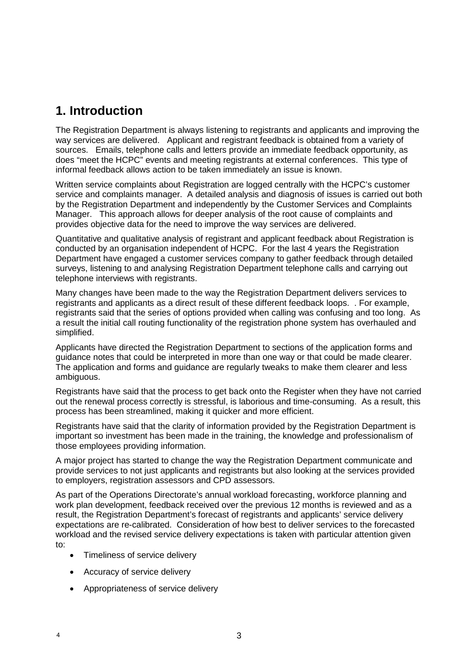## **1. Introduction**

The Registration Department is always listening to registrants and applicants and improving the way services are delivered. Applicant and registrant feedback is obtained from a variety of sources. Emails, telephone calls and letters provide an immediate feedback opportunity, as does "meet the HCPC" events and meeting registrants at external conferences. This type of informal feedback allows action to be taken immediately an issue is known.

Written service complaints about Registration are logged centrally with the HCPC's customer service and complaints manager. A detailed analysis and diagnosis of issues is carried out both by the Registration Department and independently by the Customer Services and Complaints Manager. This approach allows for deeper analysis of the root cause of complaints and provides objective data for the need to improve the way services are delivered.

Quantitative and qualitative analysis of registrant and applicant feedback about Registration is conducted by an organisation independent of HCPC. For the last 4 years the Registration Department have engaged a customer services company to gather feedback through detailed surveys, listening to and analysing Registration Department telephone calls and carrying out telephone interviews with registrants.

Many changes have been made to the way the Registration Department delivers services to registrants and applicants as a direct result of these different feedback loops. . For example, registrants said that the series of options provided when calling was confusing and too long. As a result the initial call routing functionality of the registration phone system has overhauled and simplified.

Applicants have directed the Registration Department to sections of the application forms and guidance notes that could be interpreted in more than one way or that could be made clearer. The application and forms and guidance are regularly tweaks to make them clearer and less ambiguous.

Registrants have said that the process to get back onto the Register when they have not carried out the renewal process correctly is stressful, is laborious and time-consuming. As a result, this process has been streamlined, making it quicker and more efficient.

Registrants have said that the clarity of information provided by the Registration Department is important so investment has been made in the training, the knowledge and professionalism of those employees providing information.

A major project has started to change the way the Registration Department communicate and provide services to not just applicants and registrants but also looking at the services provided to employers, registration assessors and CPD assessors.

As part of the Operations Directorate's annual workload forecasting, workforce planning and work plan development, feedback received over the previous 12 months is reviewed and as a result, the Registration Department's forecast of registrants and applicants' service delivery expectations are re-calibrated. Consideration of how best to deliver services to the forecasted workload and the revised service delivery expectations is taken with particular attention given to:

- Timeliness of service delivery
- Accuracy of service delivery

4

• Appropriateness of service delivery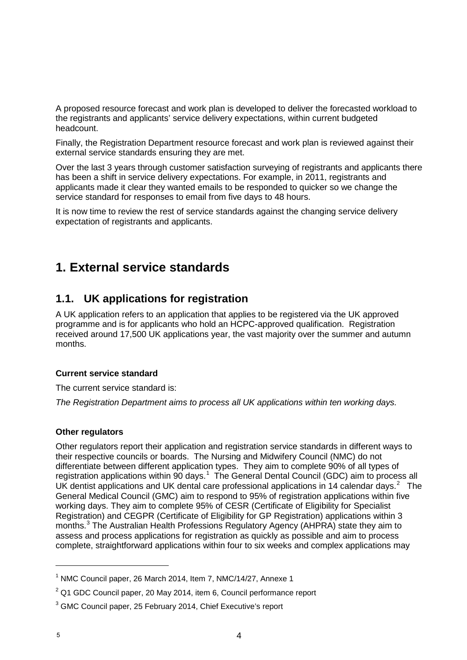A proposed resource forecast and work plan is developed to deliver the forecasted workload to the registrants and applicants' service delivery expectations, within current budgeted headcount.

Finally, the Registration Department resource forecast and work plan is reviewed against their external service standards ensuring they are met.

Over the last 3 years through customer satisfaction surveying of registrants and applicants there has been a shift in service delivery expectations. For example, in 2011, registrants and applicants made it clear they wanted emails to be responded to quicker so we change the service standard for responses to email from five days to 48 hours.

It is now time to review the rest of service standards against the changing service delivery expectation of registrants and applicants.

## **1. External service standards**

## **1.1. UK applications for registration**

A UK application refers to an application that applies to be registered via the UK approved programme and is for applicants who hold an HCPC-approved qualification. Registration received around 17,500 UK applications year, the vast majority over the summer and autumn months.

#### **Current service standard**

The current service standard is:

*The Registration Department aims to process all UK applications within ten working days.*

#### **Other regulators**

Other regulators report their application and registration service standards in different ways to their respective councils or boards. The Nursing and Midwifery Council (NMC) do not differentiate between different application types. They aim to complete 90% of all types of registration applications within 90 days.<sup>1</sup> The General Dental Council (GDC) aim to process all UK dentist applications and UK dental care professional applications in 14 calendar days.<sup>2</sup> The General Medical Council (GMC) aim to respond to 95% of registration applications within five working days. They aim to complete 95% of CESR (Certificate of Eligibility for Specialist Registration) and CEGPR (Certificate of Eligibility for GP Registration) applications within 3 months. <sup>3</sup> The Australian Health Professions Regulatory Agency (AHPRA) state they aim to assess and process applications for registration as quickly as possible and aim to process complete, straightforward applications within four to six weeks and complex applications may

<sup>1</sup> NMC Council paper, 26 March 2014, Item 7, NMC/14/27, Annexe 1

 $2$  Q1 GDC Council paper, 20 May 2014, item 6, Council performance report

<sup>3</sup> GMC Council paper, 25 February 2014, Chief Executive's report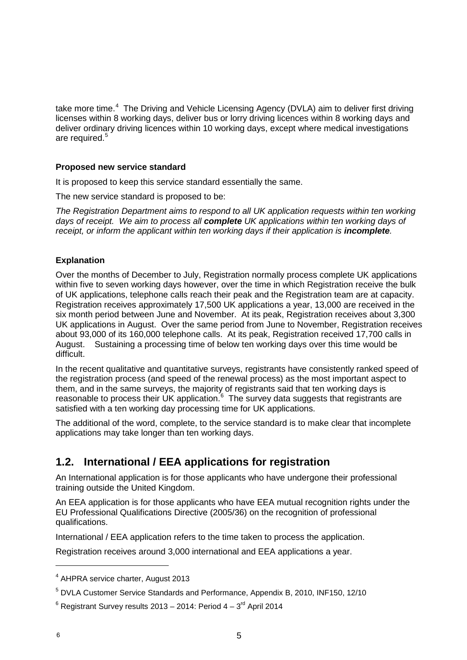take more time.<sup>4</sup> The Driving and Vehicle Licensing Agency (DVLA) aim to deliver first driving licenses within 8 working days, deliver bus or lorry driving licences within 8 working days and deliver ordinary driving licences within 10 working days, except where medical investigations are required. 5

#### **Proposed new service standard**

It is proposed to keep this service standard essentially the same.

The new service standard is proposed to be:

*The Registration Department aims to respond to all UK application requests within ten working days of receipt. We aim to process all complete UK applications within ten working days of receipt, or inform the applicant within ten working days if their application is incomplete.* 

#### **Explanation**

Over the months of December to July, Registration normally process complete UK applications within five to seven working days however, over the time in which Registration receive the bulk of UK applications, telephone calls reach their peak and the Registration team are at capacity. Registration receives approximately 17,500 UK applications a year, 13,000 are received in the six month period between June and November. At its peak, Registration receives about 3,300 UK applications in August. Over the same period from June to November, Registration receives about 93,000 of its 160,000 telephone calls. At its peak, Registration received 17,700 calls in August. Sustaining a processing time of below ten working days over this time would be difficult.

In the recent qualitative and quantitative surveys, registrants have consistently ranked speed of the registration process (and speed of the renewal process) as the most important aspect to them, and in the same surveys, the majority of registrants said that ten working days is reasonable to process their UK application.<sup>6</sup> The survey data suggests that registrants are satisfied with a ten working day processing time for UK applications.

The additional of the word, complete, to the service standard is to make clear that incomplete applications may take longer than ten working days.

## **1.2. International / EEA applications for registration**

An International application is for those applicants who have undergone their professional training outside the United Kingdom.

An EEA application is for those applicants who have EEA mutual recognition rights under the EU Professional Qualifications Directive (2005/36) on the recognition of professional qualifications.

International / EEA application refers to the time taken to process the application.

Registration receives around 3,000 international and EEA applications a year.

<sup>4</sup> AHPRA service charter, August 2013

<sup>5</sup> DVLA Customer Service Standards and Performance, Appendix B, 2010, INF150, 12/10

 $6$  Registrant Survey results 2013 – 2014: Period  $4 - 3<sup>rd</sup>$  April 2014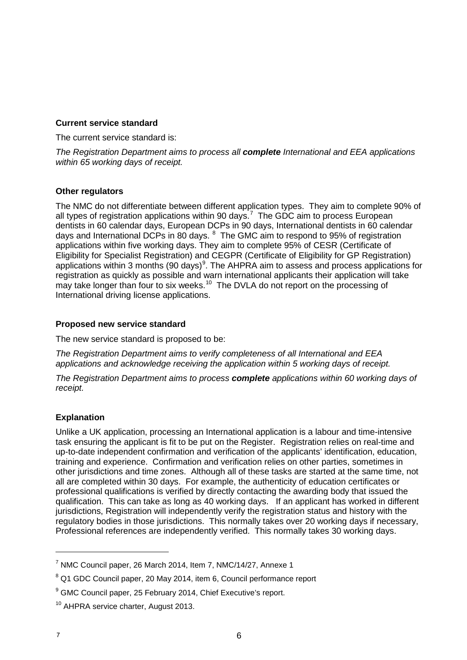#### **Current service standard**

The current service standard is:

*The Registration Department aims to process all complete International and EEA applications within 65 working days of receipt.*

#### **Other regulators**

The NMC do not differentiate between different application types. They aim to complete 90% of all types of registration applications within 90 days.<sup>7</sup> The GDC aim to process European dentists in 60 calendar days, European DCPs in 90 days, International dentists in 60 calendar days and International DCPs in 80 days. <sup>8</sup> The GMC aim to respond to 95% of registration applications within five working days. They aim to complete 95% of CESR (Certificate of Eligibility for Specialist Registration) and CEGPR (Certificate of Eligibility for GP Registration) applications within 3 months (90 days) $^9$ . The AHPRA aim to assess and process applications for registration as quickly as possible and warn international applicants their application will take may take longer than four to six weeks.<sup>10</sup> The DVLA do not report on the processing of International driving license applications.

#### **Proposed new service standard**

The new service standard is proposed to be:

*The Registration Department aims to verify completeness of all International and EEA applications and acknowledge receiving the application within 5 working days of receipt.*

*The Registration Department aims to process complete applications within 60 working days of receipt.*

#### **Explanation**

Unlike a UK application, processing an International application is a labour and time-intensive task ensuring the applicant is fit to be put on the Register. Registration relies on real-time and up-to-date independent confirmation and verification of the applicants' identification, education, training and experience. Confirmation and verification relies on other parties, sometimes in other jurisdictions and time zones. Although all of these tasks are started at the same time, not all are completed within 30 days. For example, the authenticity of education certificates or professional qualifications is verified by directly contacting the awarding body that issued the qualification. This can take as long as 40 working days. If an applicant has worked in different jurisdictions, Registration will independently verify the registration status and history with the regulatory bodies in those jurisdictions. This normally takes over 20 working days if necessary, Professional references are independently verified. This normally takes 30 working days.

 $7$  NMC Council paper, 26 March 2014, Item 7, NMC/14/27, Annexe 1

<sup>&</sup>lt;sup>8</sup> Q1 GDC Council paper, 20 May 2014, item 6, Council performance report

<sup>&</sup>lt;sup>9</sup> GMC Council paper, 25 February 2014, Chief Executive's report.

<sup>&</sup>lt;sup>10</sup> AHPRA service charter, August 2013.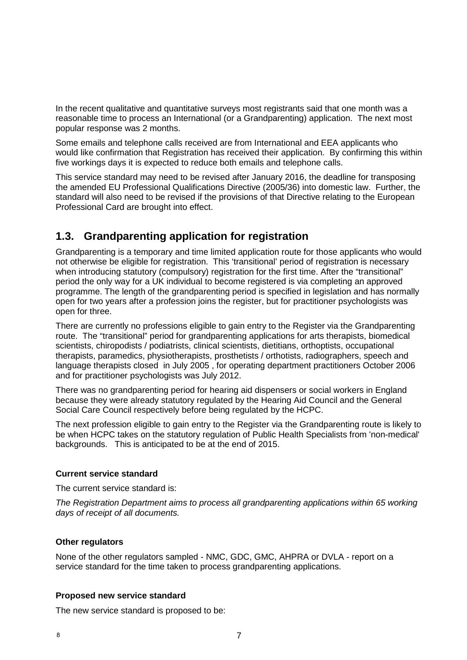In the recent qualitative and quantitative surveys most registrants said that one month was a reasonable time to process an International (or a Grandparenting) application. The next most popular response was 2 months.

Some emails and telephone calls received are from International and EEA applicants who would like confirmation that Registration has received their application. By confirming this within five workings days it is expected to reduce both emails and telephone calls.

This service standard may need to be revised after January 2016, the deadline for transposing the amended EU Professional Qualifications Directive (2005/36) into domestic law. Further, the standard will also need to be revised if the provisions of that Directive relating to the European Professional Card are brought into effect.

## **1.3. Grandparenting application for registration**

Grandparenting is a temporary and time limited application route for those applicants who would not otherwise be eligible for registration. This 'transitional' period of registration is necessary when introducing statutory (compulsory) registration for the first time. After the "transitional" period the only way for a UK individual to become registered is via completing an approved programme. The length of the grandparenting period is specified in legislation and has normally open for two years after a profession joins the register, but for practitioner psychologists was open for three.

There are currently no professions eligible to gain entry to the Register via the Grandparenting route. The "transitional" period for grandparenting applications for arts therapists, biomedical scientists, chiropodists / podiatrists, clinical scientists, dietitians, orthoptists, occupational therapists, paramedics, physiotherapists, prosthetists / orthotists, radiographers, speech and language therapists closed in July 2005 , for operating department practitioners October 2006 and for practitioner psychologists was July 2012.

There was no grandparenting period for hearing aid dispensers or social workers in England because they were already statutory regulated by the Hearing Aid Council and the General Social Care Council respectively before being regulated by the HCPC.

The next profession eligible to gain entry to the Register via the Grandparenting route is likely to be when HCPC takes on the statutory regulation of Public Health Specialists from 'non-medical' backgrounds. This is anticipated to be at the end of 2015.

#### **Current service standard**

The current service standard is:

*The Registration Department aims to process all grandparenting applications within 65 working days of receipt of all documents.*

#### **Other regulators**

None of the other regulators sampled - NMC, GDC, GMC, AHPRA or DVLA - report on a service standard for the time taken to process grandparenting applications.

#### **Proposed new service standard**

The new service standard is proposed to be: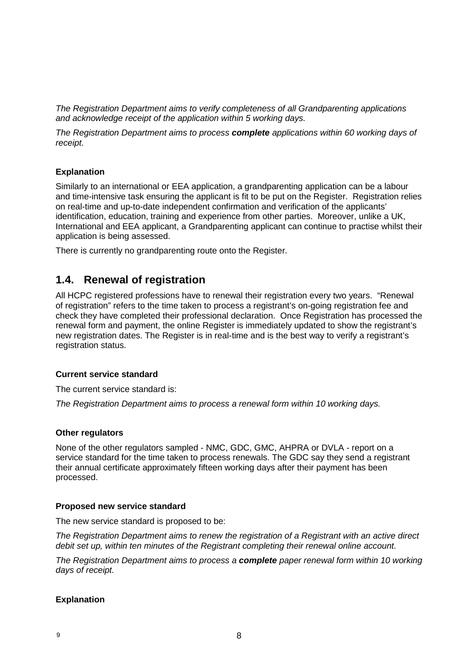*The Registration Department aims to verify completeness of all Grandparenting applications and acknowledge receipt of the application within 5 working days.*

*The Registration Department aims to process complete applications within 60 working days of receipt.*

#### **Explanation**

Similarly to an international or EEA application, a grandparenting application can be a labour and time-intensive task ensuring the applicant is fit to be put on the Register. Registration relies on real-time and up-to-date independent confirmation and verification of the applicants' identification, education, training and experience from other parties. Moreover, unlike a UK, International and EEA applicant, a Grandparenting applicant can continue to practise whilst their application is being assessed.

There is currently no grandparenting route onto the Register.

### **1.4. Renewal of registration**

All HCPC registered professions have to renewal their registration every two years. "Renewal of registration" refers to the time taken to process a registrant's on-going registration fee and check they have completed their professional declaration. Once Registration has processed the renewal form and payment, the online Register is immediately updated to show the registrant's new registration dates. The Register is in real-time and is the best way to verify a registrant's registration status.

#### **Current service standard**

The current service standard is:

*The Registration Department aims to process a renewal form within 10 working days.*

#### **Other regulators**

None of the other regulators sampled - NMC, GDC, GMC, AHPRA or DVLA - report on a service standard for the time taken to process renewals. The GDC say they send a registrant their annual certificate approximately fifteen working days after their payment has been processed.

#### **Proposed new service standard**

The new service standard is proposed to be:

*The Registration Department aims to renew the registration of a Registrant with an active direct debit set up, within ten minutes of the Registrant completing their renewal online account.*

*The Registration Department aims to process a complete paper renewal form within 10 working days of receipt.*

#### **Explanation**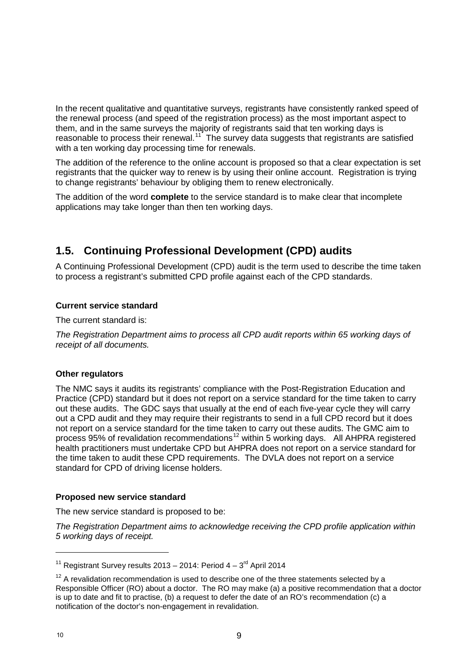In the recent qualitative and quantitative surveys, registrants have consistently ranked speed of the renewal process (and speed of the registration process) as the most important aspect to them, and in the same surveys the majority of registrants said that ten working days is reasonable to process their renewal.<sup>11</sup> The survey data suggests that registrants are satisfied with a ten working day processing time for renewals.

The addition of the reference to the online account is proposed so that a clear expectation is set registrants that the quicker way to renew is by using their online account. Registration is trying to change registrants' behaviour by obliging them to renew electronically.

The addition of the word **complete** to the service standard is to make clear that incomplete applications may take longer than then ten working days.

## **1.5. Continuing Professional Development (CPD) audits**

A Continuing Professional Development (CPD) audit is the term used to describe the time taken to process a registrant's submitted CPD profile against each of the CPD standards.

#### **Current service standard**

The current standard is:

*The Registration Department aims to process all CPD audit reports within 65 working days of receipt of all documents.*

#### **Other regulators**

The NMC says it audits its registrants' compliance with the Post-Registration Education and Practice (CPD) standard but it does not report on a service standard for the time taken to carry out these audits. The GDC says that usually at the end of each five-year cycle they will carry out a CPD audit and they may require their registrants to send in a full CPD record but it does not report on a service standard for the time taken to carry out these audits. The GMC aim to process 95% of revalidation recommendations<sup>12</sup> within 5 working days. All AHPRA registered health practitioners must undertake CPD but AHPRA does not report on a service standard for the time taken to audit these CPD requirements. The DVLA does not report on a service standard for CPD of driving license holders.

#### **Proposed new service standard**

The new service standard is proposed to be:

*The Registration Department aims to acknowledge receiving the CPD profile application within 5 working days of receipt.*

<sup>&</sup>lt;sup>11</sup> Registrant Survey results 2013 – 2014: Period  $4 - 3^{rd}$  April 2014

 $12$  A revalidation recommendation is used to describe one of the three statements selected by a Responsible Officer (RO) about a doctor. The RO may make (a) a positive recommendation that a doctor is up to date and fit to practise, (b) a request to defer the date of an RO's recommendation (c) a notification of the doctor's non-engagement in revalidation.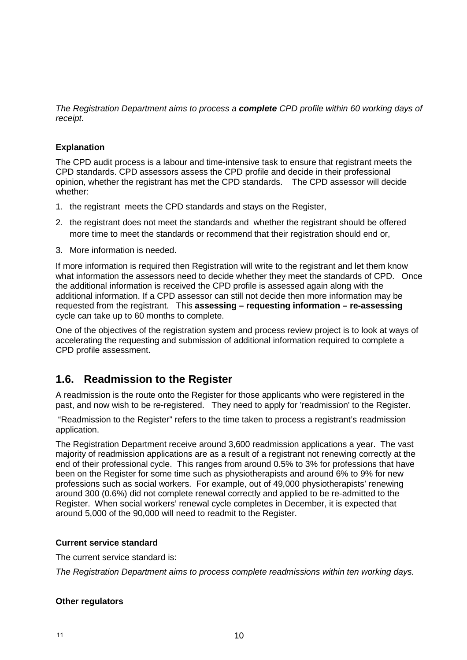*The Registration Department aims to process a complete CPD profile within 60 working days of receipt.*

#### **Explanation**

The CPD audit process is a labour and time-intensive task to ensure that registrant meets the CPD standards. CPD assessors assess the CPD profile and decide in their professional opinion, whether the registrant has met the CPD standards. The CPD assessor will decide whether:

- 1. the registrant meets the CPD standards and stays on the Register,
- 2. the registrant does not meet the standards and whether the registrant should be offered more time to meet the standards or recommend that their registration should end or,
- 3. More information is needed.

If more information is required then Registration will write to the registrant and let them know what information the assessors need to decide whether they meet the standards of CPD. Once the additional information is received the CPD profile is assessed again along with the additional information. If a CPD assessor can still not decide then more information may be requested from the registrant. This **assessing – requesting information – re-assessing** cycle can take up to 60 months to complete.

One of the objectives of the registration system and process review project is to look at ways of accelerating the requesting and submission of additional information required to complete a CPD profile assessment.

## **1.6. Readmission to the Register**

A readmission is the route onto the Register for those applicants who were registered in the past, and now wish to be re-registered. They need to apply for 'readmission' to the Register.

"Readmission to the Register" refers to the time taken to process a registrant's readmission application.

The Registration Department receive around 3,600 readmission applications a year. The vast majority of readmission applications are as a result of a registrant not renewing correctly at the end of their professional cycle. This ranges from around 0.5% to 3% for professions that have been on the Register for some time such as physiotherapists and around 6% to 9% for new professions such as social workers. For example, out of 49,000 physiotherapists' renewing around 300 (0.6%) did not complete renewal correctly and applied to be re-admitted to the Register. When social workers' renewal cycle completes in December, it is expected that around 5,000 of the 90,000 will need to readmit to the Register.

#### **Current service standard**

The current service standard is:

*The Registration Department aims to process complete readmissions within ten working days.*

#### **Other regulators**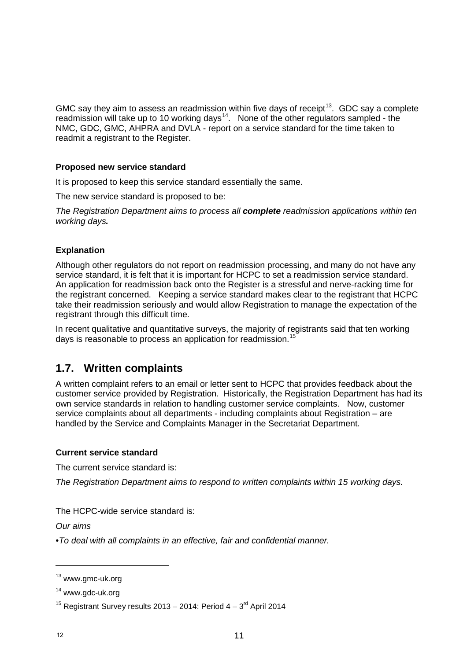GMC say they aim to assess an readmission within five days of receipt<sup>13</sup>. GDC say a complete readmission will take up to 10 working days<sup>14</sup>. None of the other regulators sampled - the NMC, GDC, GMC, AHPRA and DVLA - report on a service standard for the time taken to readmit a registrant to the Register.

#### **Proposed new service standard**

It is proposed to keep this service standard essentially the same.

The new service standard is proposed to be:

*The Registration Department aims to process all complete readmission applications within ten working days.* 

#### **Explanation**

Although other regulators do not report on readmission processing, and many do not have any service standard, it is felt that it is important for HCPC to set a readmission service standard. An application for readmission back onto the Register is a stressful and nerve-racking time for the registrant concerned. Keeping a service standard makes clear to the registrant that HCPC take their readmission seriously and would allow Registration to manage the expectation of the registrant through this difficult time.

In recent qualitative and quantitative surveys, the majority of registrants said that ten working days is reasonable to process an application for readmission.<sup>15</sup>

## **1.7. Written complaints**

A written complaint refers to an email or letter sent to HCPC that provides feedback about the customer service provided by Registration. Historically, the Registration Department has had its own service standards in relation to handling customer service complaints. Now, customer service complaints about all departments - including complaints about Registration – are handled by the Service and Complaints Manager in the Secretariat Department.

#### **Current service standard**

The current service standard is:

*The Registration Department aims to respond to written complaints within 15 working days.*

The HCPC-wide service standard is:

*Our aims*

*•To deal with all complaints in an effective, fair and confidential manner.*

<sup>&</sup>lt;sup>13</sup> www.gmc-uk.org

<sup>&</sup>lt;sup>14</sup> www.gdc-uk.org

<sup>&</sup>lt;sup>15</sup> Registrant Survey results 2013 – 2014: Period  $4 - 3$ <sup>rd</sup> April 2014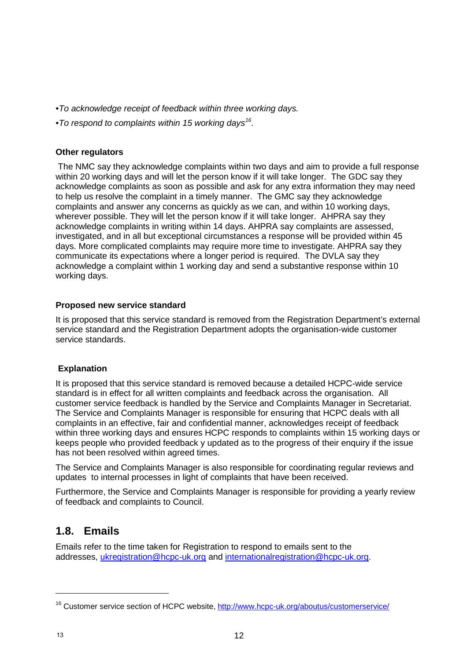- *•To acknowledge receipt of feedback within three working days.*
- *•To respond to complaints within 15 working days16.*

#### **Other regulators**

The NMC say they acknowledge complaints within two days and aim to provide a full response within 20 working days and will let the person know if it will take longer. The GDC say they acknowledge complaints as soon as possible and ask for any extra information they may need to help us resolve the complaint in a timely manner. The GMC say they acknowledge complaints and answer any concerns as quickly as we can, and within 10 working days, wherever possible. They will let the person know if it will take longer. AHPRA say they acknowledge complaints in writing within 14 days. AHPRA say complaints are assessed, investigated, and in all but exceptional circumstances a response will be provided within 45 days. More complicated complaints may require more time to investigate. AHPRA say they communicate its expectations where a longer period is required. The DVLA say they acknowledge a complaint within 1 working day and send a substantive response within 10 working days.

#### **Proposed new service standard**

It is proposed that this service standard is removed from the Registration Department's external service standard and the Registration Department adopts the organisation-wide customer service standards.

#### **Explanation**

It is proposed that this service standard is removed because a detailed HCPC-wide service standard is in effect for all written complaints and feedback across the organisation. All customer service feedback is handled by the Service and Complaints Manager in Secretariat. The Service and Complaints Manager is responsible for ensuring that HCPC deals with all complaints in an effective, fair and confidential manner, acknowledges receipt of feedback within three working days and ensures HCPC responds to complaints within 15 working days or keeps people who provided feedback y updated as to the progress of their enquiry if the issue has not been resolved within agreed times.

The Service and Complaints Manager is also responsible for coordinating regular reviews and updates to internal processes in light of complaints that have been received.

Furthermore, the Service and Complaints Manager is responsible for providing a yearly review of feedback and complaints to Council.

## **1.8. Emails**

Emails refer to the time taken for Registration to respond to emails sent to the addresses, ukregistration@hcpc-uk.org and internationalregistration@hcpc-uk.org.

 $\overline{a}$ 

<sup>&</sup>lt;sup>16</sup> Customer service section of HCPC website, http://www.hcpc-uk.org/aboutus/customerservice/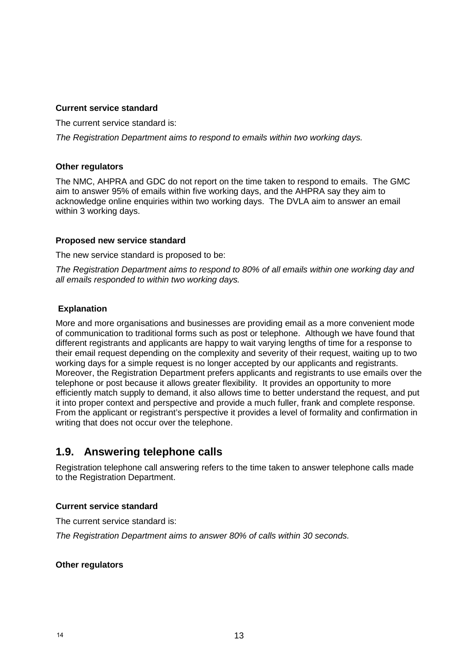#### **Current service standard**

The current service standard is:

*The Registration Department aims to respond to emails within two working days.* 

#### **Other regulators**

The NMC, AHPRA and GDC do not report on the time taken to respond to emails. The GMC aim to answer 95% of emails within five working days, and the AHPRA say they aim to acknowledge online enquiries within two working days. The DVLA aim to answer an email within 3 working days.

#### **Proposed new service standard**

The new service standard is proposed to be:

*The Registration Department aims to respond to 80% of all emails within one working day and all emails responded to within two working days.*

#### **Explanation**

More and more organisations and businesses are providing email as a more convenient mode of communication to traditional forms such as post or telephone. Although we have found that different registrants and applicants are happy to wait varying lengths of time for a response to their email request depending on the complexity and severity of their request, waiting up to two working days for a simple request is no longer accepted by our applicants and registrants. Moreover, the Registration Department prefers applicants and registrants to use emails over the telephone or post because it allows greater flexibility. It provides an opportunity to more efficiently match supply to demand, it also allows time to better understand the request, and put it into proper context and perspective and provide a much fuller, frank and complete response. From the applicant or registrant's perspective it provides a level of formality and confirmation in writing that does not occur over the telephone.

## **1.9. Answering telephone calls**

Registration telephone call answering refers to the time taken to answer telephone calls made to the Registration Department.

#### **Current service standard**

The current service standard is:

*The Registration Department aims to answer 80% of calls within 30 seconds.*

#### **Other regulators**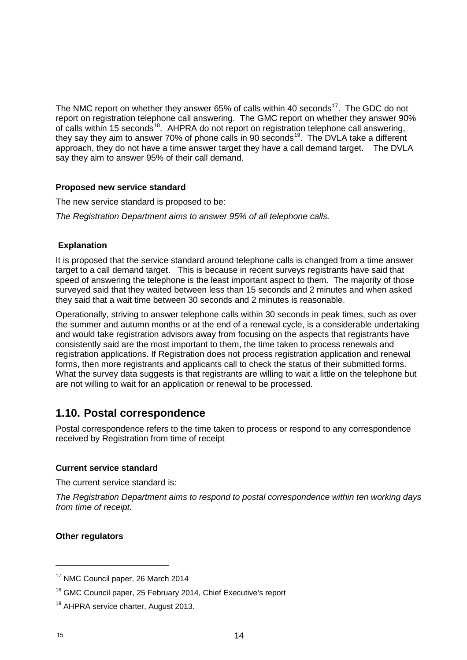The NMC report on whether they answer  $65%$  of calls within 40 seconds<sup>17</sup>. The GDC do not report on registration telephone call answering. The GMC report on whether they answer 90% of calls within 15 seconds18. AHPRA do not report on registration telephone call answering, they say they aim to answer 70% of phone calls in 90 seconds<sup>19</sup>. The DVLA take a different approach, they do not have a time answer target they have a call demand target. The DVLA say they aim to answer 95% of their call demand.

#### **Proposed new service standard**

The new service standard is proposed to be:

*The Registration Department aims to answer 95% of all telephone calls.*

#### **Explanation**

It is proposed that the service standard around telephone calls is changed from a time answer target to a call demand target. This is because in recent surveys registrants have said that speed of answering the telephone is the least important aspect to them. The majority of those surveyed said that they waited between less than 15 seconds and 2 minutes and when asked they said that a wait time between 30 seconds and 2 minutes is reasonable.

Operationally, striving to answer telephone calls within 30 seconds in peak times, such as over the summer and autumn months or at the end of a renewal cycle, is a considerable undertaking and would take registration advisors away from focusing on the aspects that registrants have consistently said are the most important to them, the time taken to process renewals and registration applications. If Registration does not process registration application and renewal forms, then more registrants and applicants call to check the status of their submitted forms. What the survey data suggests is that registrants are willing to wait a little on the telephone but are not willing to wait for an application or renewal to be processed.

## **1.10. Postal correspondence**

Postal correspondence refers to the time taken to process or respond to any correspondence received by Registration from time of receipt

#### **Current service standard**

The current service standard is:

*The Registration Department aims to respond to postal correspondence within ten working days from time of receipt.* 

#### **Other regulators**

<sup>&</sup>lt;sup>17</sup> NMC Council paper, 26 March 2014

<sup>&</sup>lt;sup>18</sup> GMC Council paper, 25 February 2014, Chief Executive's report

<sup>&</sup>lt;sup>19</sup> AHPRA service charter, August 2013.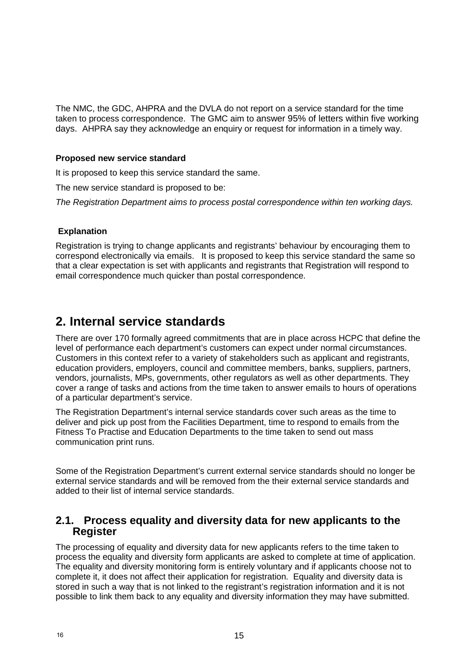The NMC, the GDC, AHPRA and the DVLA do not report on a service standard for the time taken to process correspondence. The GMC aim to answer 95% of letters within five working days. AHPRA say they acknowledge an enquiry or request for information in a timely way.

#### **Proposed new service standard**

It is proposed to keep this service standard the same.

The new service standard is proposed to be:

*The Registration Department aims to process postal correspondence within ten working days.* 

#### **Explanation**

Registration is trying to change applicants and registrants' behaviour by encouraging them to correspond electronically via emails. It is proposed to keep this service standard the same so that a clear expectation is set with applicants and registrants that Registration will respond to email correspondence much quicker than postal correspondence.

## **2. Internal service standards**

There are over 170 formally agreed commitments that are in place across HCPC that define the level of performance each department's customers can expect under normal circumstances. Customers in this context refer to a variety of stakeholders such as applicant and registrants, education providers, employers, council and committee members, banks, suppliers, partners, vendors, journalists, MPs, governments, other regulators as well as other departments. They cover a range of tasks and actions from the time taken to answer emails to hours of operations of a particular department's service.

The Registration Department's internal service standards cover such areas as the time to deliver and pick up post from the Facilities Department, time to respond to emails from the Fitness To Practise and Education Departments to the time taken to send out mass communication print runs.

Some of the Registration Department's current external service standards should no longer be external service standards and will be removed from the their external service standards and added to their list of internal service standards.

### **2.1. Process equality and diversity data for new applicants to the Register**

The processing of equality and diversity data for new applicants refers to the time taken to process the equality and diversity form applicants are asked to complete at time of application. The equality and diversity monitoring form is entirely voluntary and if applicants choose not to complete it, it does not affect their application for registration. Equality and diversity data is stored in such a way that is not linked to the registrant's registration information and it is not possible to link them back to any equality and diversity information they may have submitted.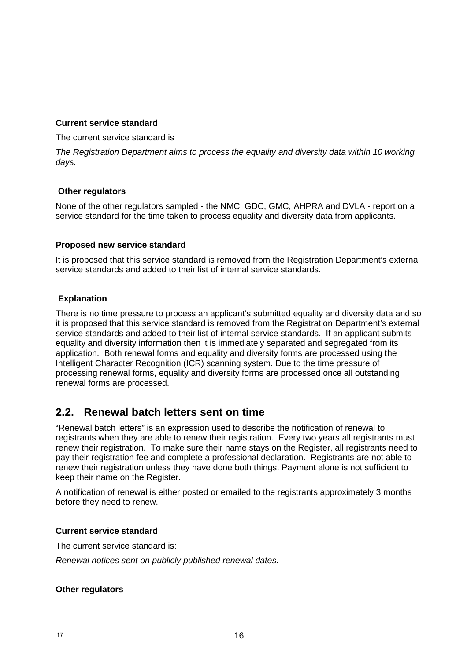#### **Current service standard**

The current service standard is

*The Registration Department aims to process the equality and diversity data within 10 working days.*

#### **Other regulators**

None of the other regulators sampled - the NMC, GDC, GMC, AHPRA and DVLA - report on a service standard for the time taken to process equality and diversity data from applicants.

#### **Proposed new service standard**

It is proposed that this service standard is removed from the Registration Department's external service standards and added to their list of internal service standards.

#### **Explanation**

There is no time pressure to process an applicant's submitted equality and diversity data and so it is proposed that this service standard is removed from the Registration Department's external service standards and added to their list of internal service standards. If an applicant submits equality and diversity information then it is immediately separated and segregated from its application. Both renewal forms and equality and diversity forms are processed using the Intelligent Character Recognition (ICR) scanning system. Due to the time pressure of processing renewal forms, equality and diversity forms are processed once all outstanding renewal forms are processed.

## **2.2. Renewal batch letters sent on time**

"Renewal batch letters" is an expression used to describe the notification of renewal to registrants when they are able to renew their registration. Every two years all registrants must renew their registration. To make sure their name stays on the Register, all registrants need to pay their registration fee and complete a professional declaration. Registrants are not able to renew their registration unless they have done both things. Payment alone is not sufficient to keep their name on the Register.

A notification of renewal is either posted or emailed to the registrants approximately 3 months before they need to renew.

#### **Current service standard**

The current service standard is:

*Renewal notices sent on publicly published renewal dates.*

#### **Other regulators**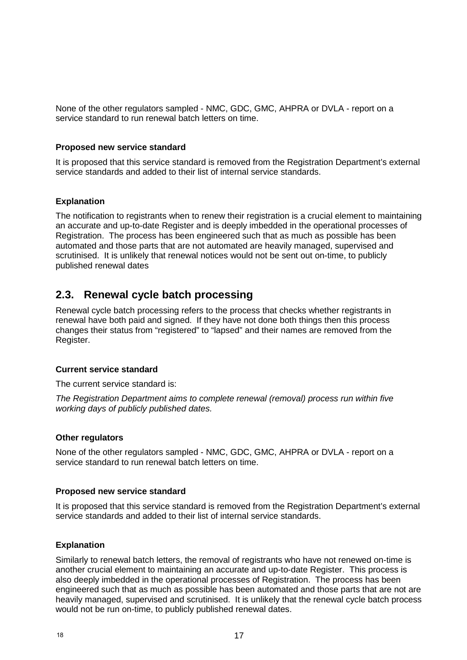None of the other regulators sampled - NMC, GDC, GMC, AHPRA or DVLA - report on a service standard to run renewal batch letters on time.

#### **Proposed new service standard**

It is proposed that this service standard is removed from the Registration Department's external service standards and added to their list of internal service standards.

#### **Explanation**

The notification to registrants when to renew their registration is a crucial element to maintaining an accurate and up-to-date Register and is deeply imbedded in the operational processes of Registration. The process has been engineered such that as much as possible has been automated and those parts that are not automated are heavily managed, supervised and scrutinised. It is unlikely that renewal notices would not be sent out on-time, to publicly published renewal dates

### **2.3. Renewal cycle batch processing**

Renewal cycle batch processing refers to the process that checks whether registrants in renewal have both paid and signed. If they have not done both things then this process changes their status from "registered" to "lapsed" and their names are removed from the Register.

#### **Current service standard**

The current service standard is:

*The Registration Department aims to complete renewal (removal) process run within five working days of publicly published dates.*

#### **Other regulators**

None of the other regulators sampled - NMC, GDC, GMC, AHPRA or DVLA - report on a service standard to run renewal batch letters on time.

#### **Proposed new service standard**

It is proposed that this service standard is removed from the Registration Department's external service standards and added to their list of internal service standards.

#### **Explanation**

Similarly to renewal batch letters, the removal of registrants who have not renewed on-time is another crucial element to maintaining an accurate and up-to-date Register. This process is also deeply imbedded in the operational processes of Registration. The process has been engineered such that as much as possible has been automated and those parts that are not are heavily managed, supervised and scrutinised. It is unlikely that the renewal cycle batch process would not be run on-time, to publicly published renewal dates.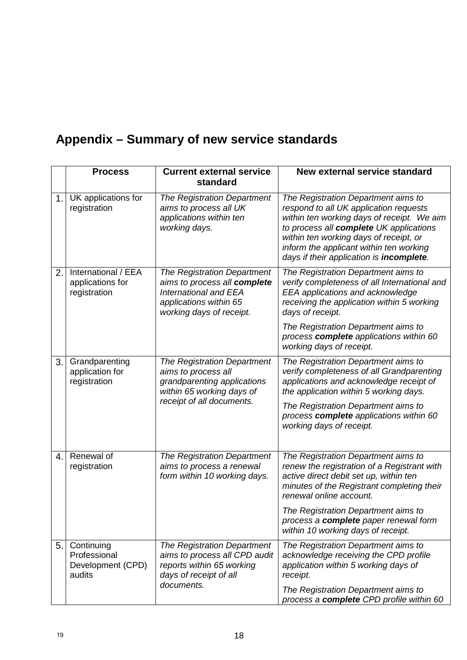# **Appendix – Summary of new service standards**

|    | <b>Process</b>                                            | <b>Current external service</b><br>standard                                                                                                       | <b>New external service standard</b>                                                                                                                                                                                                                                                                    |
|----|-----------------------------------------------------------|---------------------------------------------------------------------------------------------------------------------------------------------------|---------------------------------------------------------------------------------------------------------------------------------------------------------------------------------------------------------------------------------------------------------------------------------------------------------|
| 1. | UK applications for<br>registration                       | The Registration Department<br>aims to process all UK<br>applications within ten<br>working days.                                                 | The Registration Department aims to<br>respond to all UK application requests<br>within ten working days of receipt. We aim<br>to process all complete UK applications<br>within ten working days of receipt, or<br>inform the applicant within ten working<br>days if their application is incomplete. |
| 2. | International / EEA<br>applications for<br>registration   | The Registration Department<br>aims to process all complete<br><b>International and EEA</b><br>applications within 65<br>working days of receipt. | The Registration Department aims to<br>verify completeness of all International and<br>EEA applications and acknowledge<br>receiving the application within 5 working<br>days of receipt.                                                                                                               |
|    |                                                           |                                                                                                                                                   | The Registration Department aims to<br>process complete applications within 60<br>working days of receipt.                                                                                                                                                                                              |
| 3. | Grandparenting<br>application for<br>registration         | The Registration Department<br>aims to process all<br>grandparenting applications<br>within 65 working days of<br>receipt of all documents.       | The Registration Department aims to<br>verify completeness of all Grandparenting<br>applications and acknowledge receipt of<br>the application within 5 working days.                                                                                                                                   |
|    |                                                           |                                                                                                                                                   | The Registration Department aims to<br>process complete applications within 60<br>working days of receipt.                                                                                                                                                                                              |
| 4. | Renewal of<br>registration                                | The Registration Department<br>aims to process a renewal<br>form within 10 working days.                                                          | The Registration Department aims to<br>renew the registration of a Registrant with<br>active direct debit set up, within ten<br>minutes of the Registrant completing their<br>renewal online account.                                                                                                   |
|    |                                                           |                                                                                                                                                   | The Registration Department aims to<br>process a complete paper renewal form<br>within 10 working days of receipt.                                                                                                                                                                                      |
| 5. | Continuing<br>Professional<br>Development (CPD)<br>audits | The Registration Department<br>aims to process all CPD audit<br>reports within 65 working<br>days of receipt of all<br>documents.                 | The Registration Department aims to<br>acknowledge receiving the CPD profile<br>application within 5 working days of<br>receipt.                                                                                                                                                                        |
|    |                                                           |                                                                                                                                                   | The Registration Department aims to<br>process a complete CPD profile within 60                                                                                                                                                                                                                         |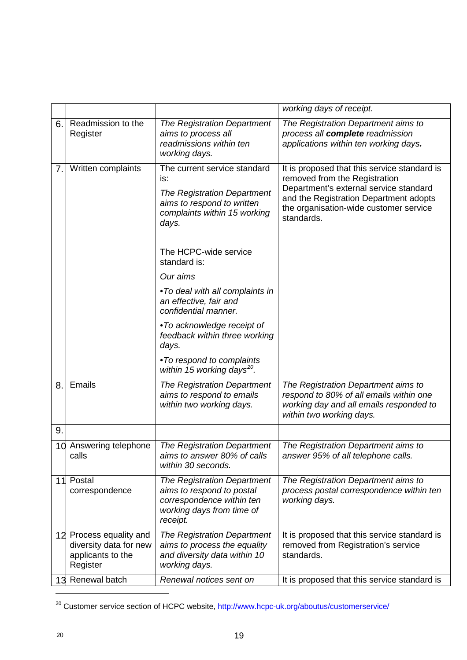|     |                                                                                    |                                                                                                                                           | working days of receipt.                                                                                                                                                                                                  |
|-----|------------------------------------------------------------------------------------|-------------------------------------------------------------------------------------------------------------------------------------------|---------------------------------------------------------------------------------------------------------------------------------------------------------------------------------------------------------------------------|
| 6.  | Readmission to the<br>Register                                                     | The Registration Department<br>aims to process all<br>readmissions within ten<br>working days.                                            | The Registration Department aims to<br>process all complete readmission<br>applications within ten working days.                                                                                                          |
| 7.1 | Written complaints                                                                 | The current service standard<br>is:<br>The Registration Department<br>aims to respond to written<br>complaints within 15 working<br>days. | It is proposed that this service standard is<br>removed from the Registration<br>Department's external service standard<br>and the Registration Department adopts<br>the organisation-wide customer service<br>standards. |
|     |                                                                                    | The HCPC-wide service<br>standard is:                                                                                                     |                                                                                                                                                                                                                           |
|     |                                                                                    | Our aims                                                                                                                                  |                                                                                                                                                                                                                           |
|     |                                                                                    | •To deal with all complaints in<br>an effective, fair and<br>confidential manner.                                                         |                                                                                                                                                                                                                           |
|     |                                                                                    | •To acknowledge receipt of<br>feedback within three working<br>days.                                                                      |                                                                                                                                                                                                                           |
|     |                                                                                    | •To respond to complaints<br>within 15 working days <sup>20</sup> .                                                                       |                                                                                                                                                                                                                           |
| 8.  | Emails                                                                             | The Registration Department<br>aims to respond to emails<br>within two working days.                                                      | The Registration Department aims to<br>respond to 80% of all emails within one<br>working day and all emails responded to<br>within two working days.                                                                     |
| 9.  |                                                                                    |                                                                                                                                           |                                                                                                                                                                                                                           |
|     | 10 Answering telephone<br>calls                                                    | The Registration Department<br>aims to answer 80% of calls<br>within 30 seconds.                                                          | The Registration Department aims to<br>answer 95% of all telephone calls.                                                                                                                                                 |
| 11  | Postal<br>correspondence                                                           | The Registration Department<br>aims to respond to postal<br>correspondence within ten<br>working days from time of<br>receipt.            | The Registration Department aims to<br>process postal correspondence within ten<br>working days.                                                                                                                          |
|     | 12 Process equality and<br>diversity data for new<br>applicants to the<br>Register | The Registration Department<br>aims to process the equality<br>and diversity data within 10<br>working days.                              | It is proposed that this service standard is<br>removed from Registration's service<br>standards.                                                                                                                         |
| 13  | Renewal batch                                                                      | Renewal notices sent on                                                                                                                   | It is proposed that this service standard is                                                                                                                                                                              |

<sup>&</sup>lt;sup>20</sup> Customer service section of HCPC website, http://www.hcpc-uk.org/aboutus/customerservice/

 $\overline{a}$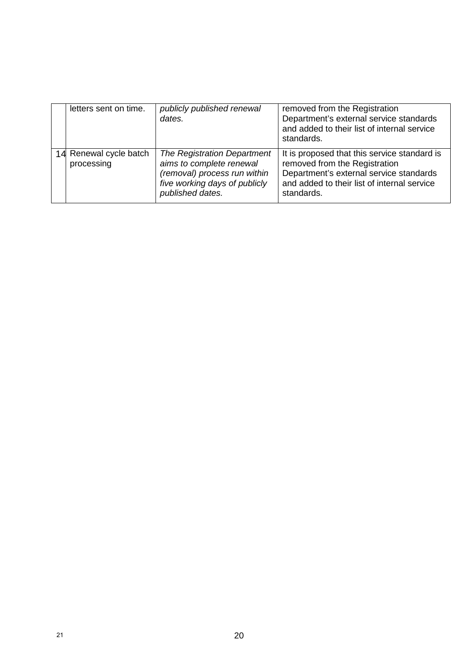| letters sent on time.                | publicly published renewal<br>dates.                                                                                                         | removed from the Registration<br>Department's external service standards<br>and added to their list of internal service<br>standards.                                                 |
|--------------------------------------|----------------------------------------------------------------------------------------------------------------------------------------------|---------------------------------------------------------------------------------------------------------------------------------------------------------------------------------------|
| 14 Renewal cycle batch<br>processing | The Registration Department<br>aims to complete renewal<br>(removal) process run within<br>five working days of publicly<br>published dates. | It is proposed that this service standard is<br>removed from the Registration<br>Department's external service standards<br>and added to their list of internal service<br>standards. |